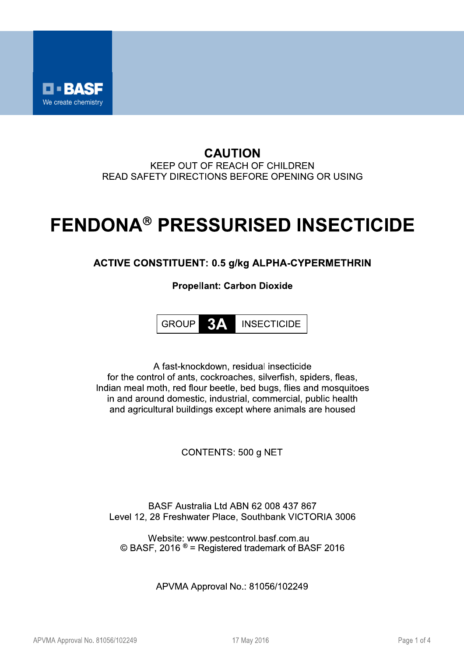

#### **CAUTION** KEEP OUT OF REACH OF CHILDREN READ SAFETY DIRECTIONS BEFORE OPENING OR USING

## **FENDONA® PRESSURISED INSECTICIDE**

### **ACTIVE CONSTITUENT: 0.5 g/kg ALPHA-CYPERMETHRIN**

**Propellant: Carbon Dioxide** 

**3A GROUP INSECTICIDE** 

A fast-knockdown, residual insecticide for the control of ants, cockroaches, silverfish, spiders, fleas, Indian meal moth, red flour beetle, bed bugs, flies and mosquitoes in and around domestic, industrial, commercial, public health and agricultural buildings except where animals are housed

CONTENTS: 500 g NET

BASF Australia Ltd ABN 62 008 437 867 Level 12, 28 Freshwater Place, Southbank VICTORIA 3006

Website: www.pestcontrol.basf.com.au  $\odot$  BASF, 2016  $\odot$  = Registered trademark of BASF 2016

APVMA Approval No.: 81056/102249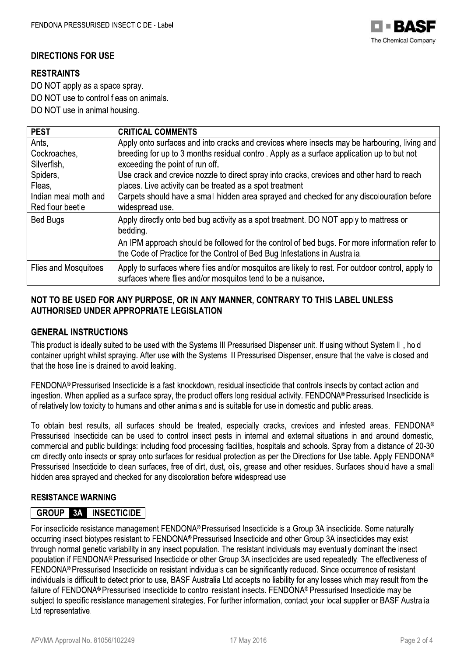

#### **DIRECTIONS FOR USE**

#### **RESTRAINTS**

DO NOT apply as a space spray.

DO NOT use to control fleas on animals.

DO NOT use in animal housing.

| <b>PEST</b>                 | <b>CRITICAL COMMENTS</b>                                                                                                                                                    |
|-----------------------------|-----------------------------------------------------------------------------------------------------------------------------------------------------------------------------|
| Ants,                       | Apply onto surfaces and into cracks and crevices where insects may be harbouring, living and                                                                                |
| Cockroaches,                | breeding for up to 3 months residual control. Apply as a surface application up to but not                                                                                  |
| Silverfish,                 | exceeding the point of run off.                                                                                                                                             |
| Spiders,                    | Use crack and crevice nozzle to direct spray into cracks, crevices and other hard to reach                                                                                  |
| Fleas,                      | places. Live activity can be treated as a spot treatment.                                                                                                                   |
| Indian meal moth and        | Carpets should have a small hidden area sprayed and checked for any discolouration before                                                                                   |
| Red flour beetle            | widespread use.                                                                                                                                                             |
| Bed Bugs                    | Apply directly onto bed bug activity as a spot treatment. DO NOT apply to mattress or<br>bedding.                                                                           |
|                             | An IPM approach should be followed for the control of bed bugs. For more information refer to<br>the Code of Practice for the Control of Bed Bug Infestations in Australia. |
| <b>Flies and Mosquitoes</b> | Apply to surfaces where flies and/or mosquitos are likely to rest. For outdoor control, apply to<br>surfaces where flies and/or mosquitos tend to be a nuisance.            |

#### NOT TO BE USED FOR ANY PURPOSE, OR IN ANY MANNER, CONTRARY TO THIS LABEL UNLESS **AUTHORISED UNDER APPROPRIATE LEGISLATION**

#### **GENERAL INSTRUCTIONS**

This product is ideally suited to be used with the Systems III Pressurised Dispenser unit. If using without System III, hold container upright whilst spraving. After use with the Systems III Pressurised Dispenser, ensure that the valve is closed and that the hose line is drained to avoid leaking.

FENDONA® Pressurised Insecticide is a fast-knockdown, residual insecticide that controls insects by contact action and ingestion. When applied as a surface spray, the product offers long residual activity. FENDONA® Pressurised Insecticide is of relatively low toxicity to humans and other animals and is suitable for use in domestic and public areas.

To obtain best results, all surfaces should be treated, especially cracks, crevices and infested areas. FENDONA® Pressurised Insecticide can be used to control insect pests in internal and external situations in and around domestic. commercial and public buildings: including food processing facilities, hospitals and schools. Spray from a distance of 20-30 cm directly onto insects or spray onto surfaces for residual protection as per the Directions for Use table. Apply FENDONA® Pressurised Insecticide to clean surfaces, free of dirt, dust, oils, grease and other residues. Surfaces should have a small hidden area sprayed and checked for any discoloration before widespread use.

#### **RESISTANCE WARNING**

#### **GROUP 3A INSECTICIDE**

For insecticide resistance management FENDONA® Pressurised Insecticide is a Group 3A insecticide. Some naturally occurring insect biotypes resistant to FENDONA® Pressurised Insecticide and other Group 3A insecticides may exist through normal genetic variability in any insect population. The resistant individuals may eventually dominant the insect population if FENDONA® Pressurised Insecticide or other Group 3A insecticides are used repeatedly. The effectiveness of FENDONA® Pressurised Insecticide on resistant individuals can be significantly reduced. Since occurrence of resistant individuals is difficult to detect prior to use, BASF Australia Ltd accepts no liability for any losses which may result from the failure of FENDONA® Pressurised Insecticide to control resistant insects. FENDONA® Pressurised Insecticide may be subject to specific resistance management strategies. For further information, contact your local supplier or BASF Australia Ltd representative.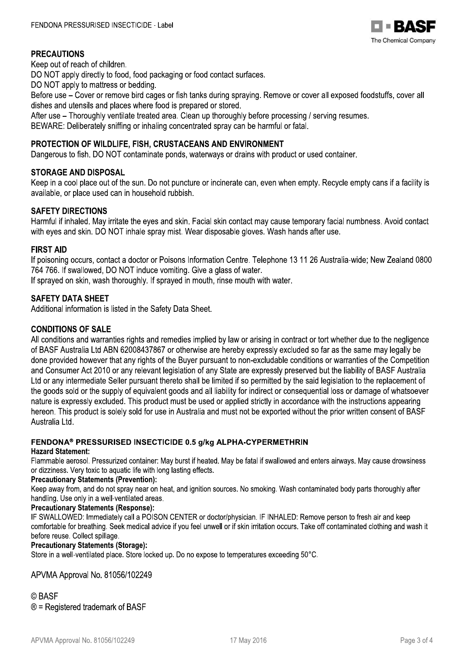

#### PRECAUTIONS

Keep out of reach of children.

DO NOT apply directly to food, food packaging or food contact surfaces.

DO NOT apply to mattress or begoing.

Before use – Cover or remove bird cages or fish tanks during spraying. Remove or cover all exposed foodstuffs, cover all dishes and utensils and places where food is prepared or stored.

After use – Thoroughly ventilate treated area. Clean up thoroughly before processing / serving resumes.

BEWARE: Deliberately sniffing or inhaling concentrated spray can be harmful or fatal.

#### PROTECTION OF WILDLIFE, FISH, CRUSTACEANS AND ENVIRONMENT

Dangerous to fish. DO NOT contaminate ponds, waterways or drains with product or used container.

#### **STORAGE AND DISPOSAL**

Keep in a cool place out of the sun. Do not puncture or incinerate can, even when empty. Recycle empty cans if a facility is available, or place used can in household rubbish.

#### **SAFETY DIRECTIONS**

Harmful if inhaled. May irritate the eyes and skin. Facial skin contact may cause temporary facial numbness. Avoid contact with eyes and skin. DO NOT inhale spray mist. Wear disposable gloves. Wash hands after use.  $\,$ 

STOWANDED and of the sun. Do not puncture or incinerate can, even when empty. Recycle empty car<br>
Reep in a cool place out of the sun. Do not puncture or incinerate can, even when empty. Recycle empty car<br>
svariable, or pla If poisoning occurs, contact a doctor or Poisons Information Centre. Telephone 13 11 26 Australia-wide; New Zealand 0800 764 766. If swallowed, DO NOT induce vomiting. Give a glass of water.

If sprayed on skin, wash thoroughly. If sprayed in mouth, rinse mouth with water.

#### **SAFETY DATA SHEET**

Additional information is listed in the Safety Data Sheet.

#### $\ddot{\phantom{a}}$ CONDITIONS OF SALE

All conditions and warranties rights and remedies implied by law or arising in contract or tort whether due to the negligence of BASF Australia Ltd ABN 62008437867 or otherwise are hereby expressly excluded so far as the same may legally be<br>done provided however that any rights of the Buyer pursuant to non-excludable conditions or warranties of t T64 766. If swallowed, DO NOT induce vomiting. Give a glass of water.<br>
If sprayed on skin, wash thoroughly. If sprayed in mouth, rinse mouth with water.<br> **SAFETY DATA SHEET**<br>
Additional information is listed in the Safety

#### FENDONA® PRESSURISED INSECTICIDE 0.5 g/kg ALPHA-CYPERMETHRIN

#### Hazard Statement:

Flammable aerosol. Pressurized container: May burst if heated. May be fatal if swallowed and enters airways. May cause drowsiness or dizziness. Very toxic to aquatic life with long lasting effects.

#### Precautionary Statements (Prevention):

Keep away from, and do not spray near on neat, and ignition sources. No smoking. Wash contaminated body parts thoroughly after handling. Use only in a well-ventilated areas.<br>-

#### Precautionary Statements (Response):

IF SWALLOWED: Immediately call a POISON CENTER or doctor/physician. IF INHALED: Remove person to fresh air and keep comfortable for breathing. Seek medical advice if you feel unwell or if skin irritation occurs. Take off contaminated clothing and wash it before reuse. Collect spillage.

#### Precautionary Statements (Storage):

Store in a well-ventilated place. Store locked up. Do no expose to temperatures exceeding 50°C.

# **I No. 81056/102249**<br> **ademark of BASF**<br> **o. 81056/102249**<br> **17 May 2016**<br> **17 May 2016**<br> **Page 3 of 4**  $\ddot{\phantom{a}}$ APVMA Approval No. 81056/102249

#### $\ddot{\phantom{a}}$ © BASF<br>C

 $\circledR$  = Registered trademark of BASF